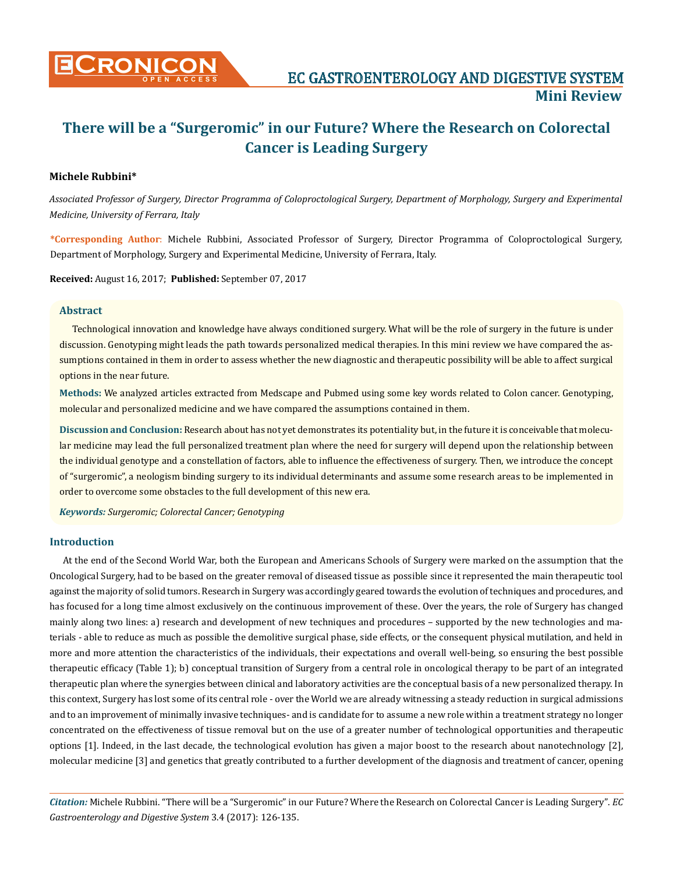

# **There will be a "Surgeromic" in our Future? Where the Research on Colorectal Cancer is Leading Surgery**

# **Michele Rubbini\***

*Associated Professor of Surgery, Director Programma of Coloproctological Surgery, Department of Morphology, Surgery and Experimental Medicine, University of Ferrara, Italy*

**\*Corresponding Author**: Michele Rubbini, Associated Professor of Surgery, Director Programma of Coloproctological Surgery, Department of Morphology, Surgery and Experimental Medicine, University of Ferrara, Italy.

**Received:** August 16, 2017; **Published:** September 07, 2017

## **Abstract**

Technological innovation and knowledge have always conditioned surgery. What will be the role of surgery in the future is under discussion. Genotyping might leads the path towards personalized medical therapies. In this mini review we have compared the assumptions contained in them in order to assess whether the new diagnostic and therapeutic possibility will be able to affect surgical options in the near future.

**Methods:** We analyzed articles extracted from Medscape and Pubmed using some key words related to Colon cancer. Genotyping, molecular and personalized medicine and we have compared the assumptions contained in them.

**Discussion and Conclusion:** Research about has not yet demonstrates its potentiality but, in the future it is conceivable that molecular medicine may lead the full personalized treatment plan where the need for surgery will depend upon the relationship between the individual genotype and a constellation of factors, able to influence the effectiveness of surgery. Then, we introduce the concept of "surgeromic", a neologism binding surgery to its individual determinants and assume some research areas to be implemented in order to overcome some obstacles to the full development of this new era.

*Keywords: Surgeromic; Colorectal Cancer; Genotyping*

## **Introduction**

At the end of the Second World War, both the European and Americans Schools of Surgery were marked on the assumption that the Oncological Surgery, had to be based on the greater removal of diseased tissue as possible since it represented the main therapeutic tool against the majority of solid tumors. Research in Surgery was accordingly geared towards the evolution of techniques and procedures, and has focused for a long time almost exclusively on the continuous improvement of these. Over the years, the role of Surgery has changed mainly along two lines: a) research and development of new techniques and procedures – supported by the new technologies and materials - able to reduce as much as possible the demolitive surgical phase, side effects, or the consequent physical mutilation, and held in more and more attention the characteristics of the individuals, their expectations and overall well-being, so ensuring the best possible therapeutic efficacy (Table 1); b) conceptual transition of Surgery from a central role in oncological therapy to be part of an integrated therapeutic plan where the synergies between clinical and laboratory activities are the conceptual basis of a new personalized therapy. In this context, Surgery has lost some of its central role - over the World we are already witnessing a steady reduction in surgical admissions and to an improvement of minimally invasive techniques- and is candidate for to assume a new role within a treatment strategy no longer concentrated on the effectiveness of tissue removal but on the use of a greater number of technological opportunities and therapeutic options [1]. Indeed, in the last decade, the technological evolution has given a major boost to the research about nanotechnology [2], molecular medicine [3] and genetics that greatly contributed to a further development of the diagnosis and treatment of cancer, opening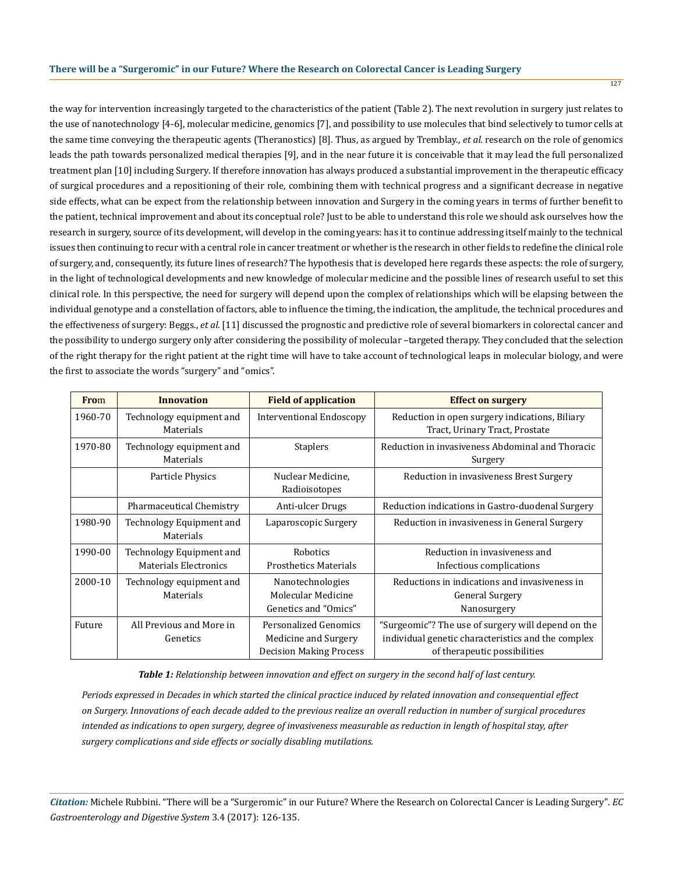the way for intervention increasingly targeted to the characteristics of the patient (Table 2). The next revolution in surgery just relates to the use of nanotechnology [4-6], molecular medicine, genomics [7], and possibility to use molecules that bind selectively to tumor cells at the same time conveying the therapeutic agents (Theranostics) [8]. Thus, as argued by Tremblay., *et al.* research on the role of genomics leads the path towards personalized medical therapies [9], and in the near future it is conceivable that it may lead the full personalized treatment plan [10] including Surgery. If therefore innovation has always produced a substantial improvement in the therapeutic efficacy of surgical procedures and a repositioning of their role, combining them with technical progress and a significant decrease in negative side effects, what can be expect from the relationship between innovation and Surgery in the coming years in terms of further benefit to the patient, technical improvement and about its conceptual role? Just to be able to understand this role we should ask ourselves how the research in surgery, source of its development, will develop in the coming years: has it to continue addressing itself mainly to the technical issues then continuing to recur with a central role in cancer treatment or whether is the research in other fields to redefine the clinical role of surgery, and, consequently, its future lines of research? The hypothesis that is developed here regards these aspects: the role of surgery, in the light of technological developments and new knowledge of molecular medicine and the possible lines of research useful to set this clinical role. In this perspective, the need for surgery will depend upon the complex of relationships which will be elapsing between the individual genotype and a constellation of factors, able to influence the timing, the indication, the amplitude, the technical procedures and the effectiveness of surgery: Beggs., *et al*. [11] discussed the prognostic and predictive role of several biomarkers in colorectal cancer and the possibility to undergo surgery only after considering the possibility of molecular –targeted therapy. They concluded that the selection of the right therapy for the right patient at the right time will have to take account of technological leaps in molecular biology, and were the first to associate the words "surgery" and "omics".

| <b>From</b> | <b>Innovation</b>                                        | <b>Field of application</b>                                                     | <b>Effect on surgery</b>                                                                                                                 |
|-------------|----------------------------------------------------------|---------------------------------------------------------------------------------|------------------------------------------------------------------------------------------------------------------------------------------|
| 1960-70     | Technology equipment and<br>Materials                    | <b>Interventional Endoscopy</b>                                                 | Reduction in open surgery indications, Biliary<br>Tract, Urinary Tract, Prostate                                                         |
| 1970-80     | Technology equipment and<br>Materials                    | <b>Staplers</b>                                                                 | Reduction in invasiveness Abdominal and Thoracic<br>Surgery                                                                              |
|             | Particle Physics                                         | Nuclear Medicine.<br>Radioisotopes                                              | Reduction in invasiveness Brest Surgery                                                                                                  |
|             | Pharmaceutical Chemistry                                 | Anti-ulcer Drugs                                                                | Reduction indications in Gastro-duodenal Surgery                                                                                         |
| 1980-90     | Technology Equipment and<br>Materials                    | Laparoscopic Surgery                                                            | Reduction in invasiveness in General Surgery                                                                                             |
| 1990-00     | Technology Equipment and<br><b>Materials Electronics</b> | Robotics<br><b>Prosthetics Materials</b>                                        | Reduction in invasiveness and<br>Infectious complications                                                                                |
| 2000-10     | Technology equipment and<br>Materials                    | Nanotechnologies<br>Molecular Medicine<br>Genetics and "Omics"                  | Reductions in indications and invasiveness in<br><b>General Surgery</b><br>Nanosurgery                                                   |
| Future      | All Previous and More in<br>Genetics                     | Personalized Genomics<br>Medicine and Surgery<br><b>Decision Making Process</b> | "Surgeomic"? The use of surgery will depend on the<br>individual genetic characteristics and the complex<br>of therapeutic possibilities |

*Table 1: Relationship between innovation and effect on surgery in the second half of last century.*

*Periods expressed in Decades in which started the clinical practice induced by related innovation and consequential effect on Surgery. Innovations of each decade added to the previous realize an overall reduction in number of surgical procedures intended as indications to open surgery, degree of invasiveness measurable as reduction in length of hospital stay, after surgery complications and side effects or socially disabling mutilations.*

*Citation:* Michele Rubbini. "There will be a "Surgeromic" in our Future? Where the Research on Colorectal Cancer is Leading Surgery". *EC Gastroenterology and Digestive System* 3.4 (2017): 126-135.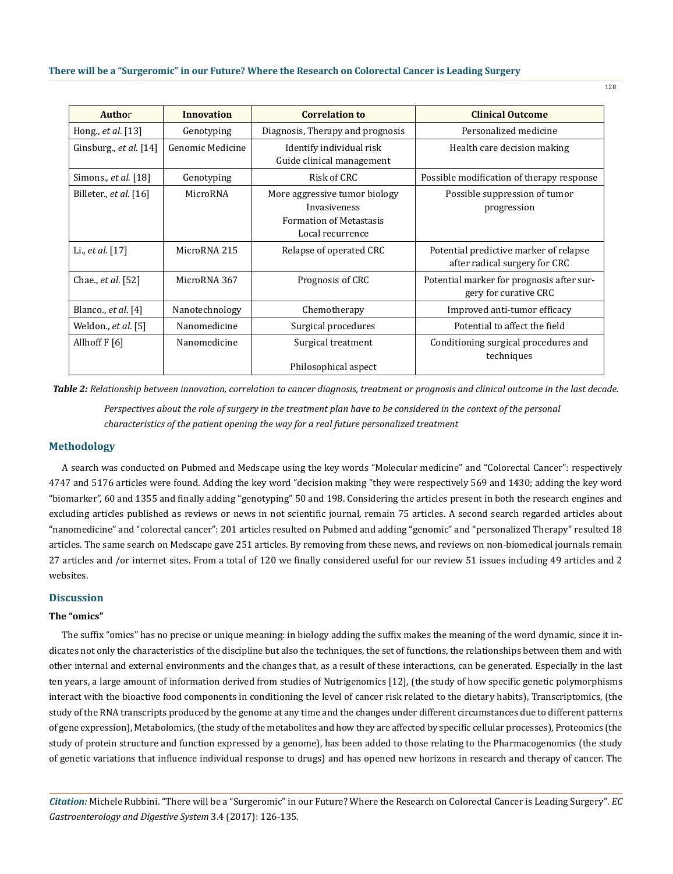128

| <b>Author</b>            | <b>Innovation</b> | <b>Correlation to</b>                                                                               | <b>Clinical Outcome</b>                                                 |  |
|--------------------------|-------------------|-----------------------------------------------------------------------------------------------------|-------------------------------------------------------------------------|--|
| Hong., et al. [13]       | Genotyping        | Diagnosis, Therapy and prognosis                                                                    | Personalized medicine                                                   |  |
| Ginsburg., et al. $[14]$ | Genomic Medicine  | Identify individual risk<br>Guide clinical management                                               | Health care decision making                                             |  |
| Simons., et al. [18]     | Genotyping        | Risk of CRC                                                                                         | Possible modification of therapy response                               |  |
| Billeter., et al. [16]   | MicroRNA          | More aggressive tumor biology<br>Invasiveness<br><b>Formation of Metastasis</b><br>Local recurrence | Possible suppression of tumor<br>progression                            |  |
| Li., et al. [17]         | MicroRNA 215      | Relapse of operated CRC                                                                             | Potential predictive marker of relapse<br>after radical surgery for CRC |  |
| Chae., et al. [52]       | MicroRNA 367      | Prognosis of CRC                                                                                    | Potential marker for prognosis after sur-<br>gery for curative CRC      |  |
| Blanco., $et$ al. $[4]$  | Nanotechnology    | Chemotherapy                                                                                        | Improved anti-tumor efficacy                                            |  |
| Weldon., et al. [5]      | Nanomedicine      | Surgical procedures                                                                                 | Potential to affect the field                                           |  |
| Allhoff F [6]            | Nanomedicine      | Surgical treatment<br>Philosophical aspect                                                          | Conditioning surgical procedures and<br>techniques                      |  |

*Table 2: Relationship between innovation, correlation to cancer diagnosis, treatment or prognosis and clinical outcome in the last decade.*

*Perspectives about the role of surgery in the treatment plan have to be considered in the context of the personal characteristics of the patient opening the way for a real future personalized treatment*

## **Methodology**

A search was conducted on Pubmed and Medscape using the key words "Molecular medicine" and "Colorectal Cancer": respectively 4747 and 5176 articles were found. Adding the key word "decision making "they were respectively 569 and 1430; adding the key word "biomarker", 60 and 1355 and finally adding "genotyping" 50 and 198. Considering the articles present in both the research engines and excluding articles published as reviews or news in not scientific journal, remain 75 articles. A second search regarded articles about "nanomedicine" and "colorectal cancer": 201 articles resulted on Pubmed and adding "genomic" and "personalized Therapy" resulted 18 articles. The same search on Medscape gave 251 articles. By removing from these news, and reviews on non-biomedical journals remain 27 articles and /or internet sites. From a total of 120 we finally considered useful for our review 51 issues including 49 articles and 2 websites.

## **Discussion**

# **The "omics"**

The suffix "omics" has no precise or unique meaning: in biology adding the suffix makes the meaning of the word dynamic, since it indicates not only the characteristics of the discipline but also the techniques, the set of functions, the relationships between them and with other internal and external environments and the changes that, as a result of these interactions, can be generated. Especially in the last ten years, a large amount of information derived from studies of Nutrigenomics [12], (the study of how specific genetic polymorphisms interact with the bioactive food components in conditioning the level of cancer risk related to the dietary habits), Transcriptomics, (the study of the RNA transcripts produced by the genome at any time and the changes under different circumstances due to different patterns of gene expression), Metabolomics, (the study of the metabolites and how they are affected by specific cellular processes), Proteomics (the study of protein structure and function expressed by a genome), has been added to those relating to the Pharmacogenomics (the study of genetic variations that influence individual response to drugs) and has opened new horizons in research and therapy of cancer. The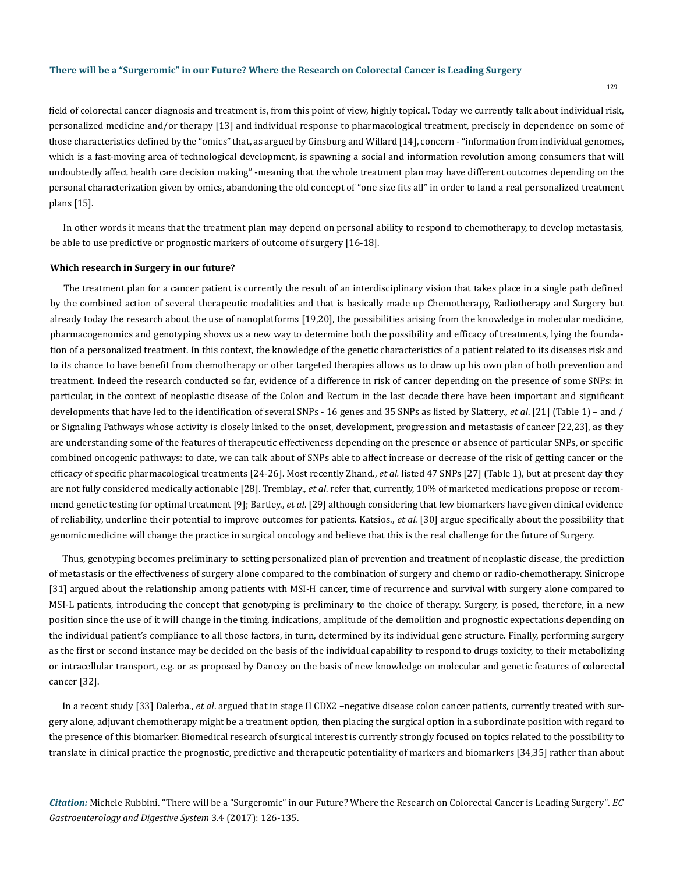field of colorectal cancer diagnosis and treatment is, from this point of view, highly topical. Today we currently talk about individual risk, personalized medicine and/or therapy [13] and individual response to pharmacological treatment, precisely in dependence on some of those characteristics defined by the "omics" that, as argued by Ginsburg and Willard [14], concern - "information from individual genomes, which is a fast-moving area of technological development, is spawning a social and information revolution among consumers that will undoubtedly affect health care decision making" -meaning that the whole treatment plan may have different outcomes depending on the personal characterization given by omics, abandoning the old concept of "one size fits all" in order to land a real personalized treatment plans [15].

In other words it means that the treatment plan may depend on personal ability to respond to chemotherapy, to develop metastasis, be able to use predictive or prognostic markers of outcome of surgery [16-18].

#### **Which research in Surgery in our future?**

The treatment plan for a cancer patient is currently the result of an interdisciplinary vision that takes place in a single path defined by the combined action of several therapeutic modalities and that is basically made up Chemotherapy, Radiotherapy and Surgery but already today the research about the use of nanoplatforms [19,20], the possibilities arising from the knowledge in molecular medicine, pharmacogenomics and genotyping shows us a new way to determine both the possibility and efficacy of treatments, lying the foundation of a personalized treatment. In this context, the knowledge of the genetic characteristics of a patient related to its diseases risk and to its chance to have benefit from chemotherapy or other targeted therapies allows us to draw up his own plan of both prevention and treatment. Indeed the research conducted so far, evidence of a difference in risk of cancer depending on the presence of some SNPs: in particular, in the context of neoplastic disease of the Colon and Rectum in the last decade there have been important and significant developments that have led to the identification of several SNPs - 16 genes and 35 SNPs as listed by Slattery., *et al*. [21] (Table 1) – and / or Signaling Pathways whose activity is closely linked to the onset, development, progression and metastasis of cancer [22,23], as they are understanding some of the features of therapeutic effectiveness depending on the presence or absence of particular SNPs, or specific combined oncogenic pathways: to date, we can talk about of SNPs able to affect increase or decrease of the risk of getting cancer or the efficacy of specific pharmacological treatments [24-26]. Most recently Zhand., *et al.* listed 47 SNPs [27] (Table 1), but at present day they are not fully considered medically actionable [28]. Tremblay., *et al*. refer that, currently, 10% of marketed medications propose or recommend genetic testing for optimal treatment [9]; Bartley., *et al*. [29] although considering that few biomarkers have given clinical evidence of reliability, underline their potential to improve outcomes for patients. Katsios., *et al*. [30] argue specifically about the possibility that genomic medicine will change the practice in surgical oncology and believe that this is the real challenge for the future of Surgery.

Thus, genotyping becomes preliminary to setting personalized plan of prevention and treatment of neoplastic disease, the prediction of metastasis or the effectiveness of surgery alone compared to the combination of surgery and chemo or radio-chemotherapy. Sinicrope [31] argued about the relationship among patients with MSI-H cancer, time of recurrence and survival with surgery alone compared to MSI-L patients, introducing the concept that genotyping is preliminary to the choice of therapy. Surgery, is posed, therefore, in a new position since the use of it will change in the timing, indications, amplitude of the demolition and prognostic expectations depending on the individual patient's compliance to all those factors, in turn, determined by its individual gene structure. Finally, performing surgery as the first or second instance may be decided on the basis of the individual capability to respond to drugs toxicity, to their metabolizing or intracellular transport, e.g. or as proposed by Dancey on the basis of new knowledge on molecular and genetic features of colorectal cancer [32].

In a recent study [33] Dalerba., *et al*. argued that in stage II CDX2 –negative disease colon cancer patients, currently treated with surgery alone, adjuvant chemotherapy might be a treatment option, then placing the surgical option in a subordinate position with regard to the presence of this biomarker. Biomedical research of surgical interest is currently strongly focused on topics related to the possibility to translate in clinical practice the prognostic, predictive and therapeutic potentiality of markers and biomarkers [34,35] rather than about

*Citation:* Michele Rubbini. "There will be a "Surgeromic" in our Future? Where the Research on Colorectal Cancer is Leading Surgery". *EC Gastroenterology and Digestive System* 3.4 (2017): 126-135.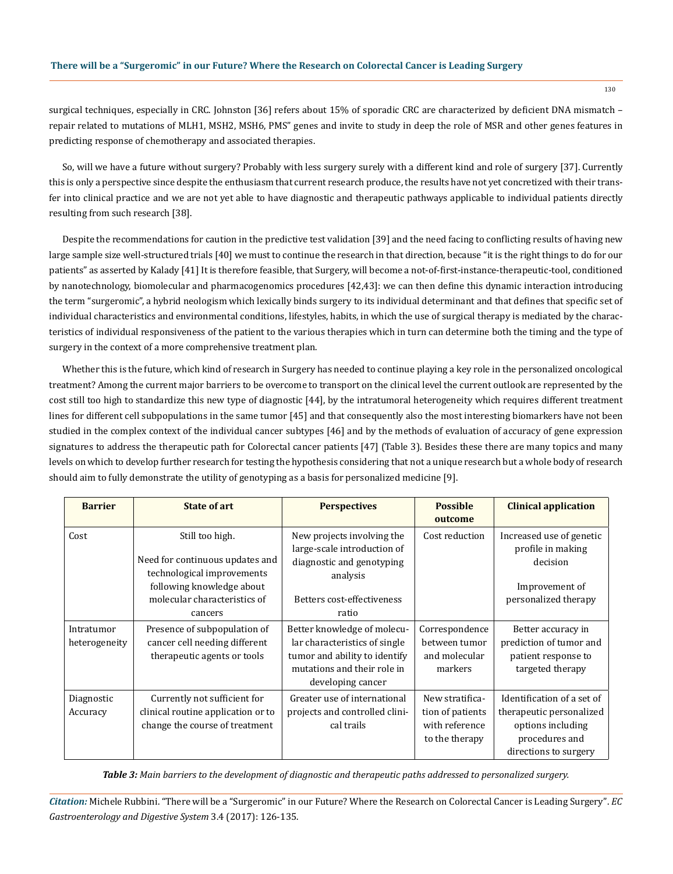surgical techniques, especially in CRC. Johnston [36] refers about 15% of sporadic CRC are characterized by deficient DNA mismatch – repair related to mutations of MLH1, MSH2, MSH6, PMS" genes and invite to study in deep the role of MSR and other genes features in predicting response of chemotherapy and associated therapies.

So, will we have a future without surgery? Probably with less surgery surely with a different kind and role of surgery [37]. Currently this is only a perspective since despite the enthusiasm that current research produce, the results have not yet concretized with their transfer into clinical practice and we are not yet able to have diagnostic and therapeutic pathways applicable to individual patients directly resulting from such research [38].

Despite the recommendations for caution in the predictive test validation [39] and the need facing to conflicting results of having new large sample size well-structured trials [40] we must to continue the research in that direction, because "it is the right things to do for our patients" as asserted by Kalady [41] It is therefore feasible, that Surgery, will become a not-of-first-instance-therapeutic-tool, conditioned by nanotechnology, biomolecular and pharmacogenomics procedures [42,43]: we can then define this dynamic interaction introducing the term "surgeromic", a hybrid neologism which lexically binds surgery to its individual determinant and that defines that specific set of individual characteristics and environmental conditions, lifestyles, habits, in which the use of surgical therapy is mediated by the characteristics of individual responsiveness of the patient to the various therapies which in turn can determine both the timing and the type of surgery in the context of a more comprehensive treatment plan.

Whether this is the future, which kind of research in Surgery has needed to continue playing a key role in the personalized oncological treatment? Among the current major barriers to be overcome to transport on the clinical level the current outlook are represented by the cost still too high to standardize this new type of diagnostic [44], by the intratumoral heterogeneity which requires different treatment lines for different cell subpopulations in the same tumor [45] and that consequently also the most interesting biomarkers have not been studied in the complex context of the individual cancer subtypes [46] and by the methods of evaluation of accuracy of gene expression signatures to address the therapeutic path for Colorectal cancer patients [47] (Table 3). Besides these there are many topics and many levels on which to develop further research for testing the hypothesis considering that not a unique research but a whole body of research should aim to fully demonstrate the utility of genotyping as a basis for personalized medicine [9].

| <b>Barrier</b>              | <b>State of art</b>                                                                                                                                      | <b>Perspectives</b>                                                                                                                               | <b>Possible</b><br>outcome                                              | <b>Clinical application</b>                                                                                            |
|-----------------------------|----------------------------------------------------------------------------------------------------------------------------------------------------------|---------------------------------------------------------------------------------------------------------------------------------------------------|-------------------------------------------------------------------------|------------------------------------------------------------------------------------------------------------------------|
| Cost                        | Still too high.<br>Need for continuous updates and<br>technological improvements<br>following knowledge about<br>molecular characteristics of<br>cancers | New projects involving the<br>large-scale introduction of<br>diagnostic and genotyping<br>analysis<br>Betters cost-effectiveness<br>ratio         | Cost reduction                                                          | Increased use of genetic<br>profile in making<br>decision<br>Improvement of<br>personalized therapy                    |
| Intratumor<br>heterogeneity | Presence of subpopulation of<br>cancer cell needing different<br>therapeutic agents or tools                                                             | Better knowledge of molecu-<br>lar characteristics of single<br>tumor and ability to identify<br>mutations and their role in<br>developing cancer | Correspondence<br>between tumor<br>and molecular<br>markers             | Better accuracy in<br>prediction of tumor and<br>patient response to<br>targeted therapy                               |
| Diagnostic<br>Accuracy      | Currently not sufficient for<br>clinical routine application or to<br>change the course of treatment                                                     | Greater use of international<br>projects and controlled clini-<br>cal trails                                                                      | New stratifica-<br>tion of patients<br>with reference<br>to the therapy | Identification of a set of<br>therapeutic personalized<br>options including<br>procedures and<br>directions to surgery |

*Table 3: Main barriers to the development of diagnostic and therapeutic paths addressed to personalized surgery.*

*Citation:* Michele Rubbini. "There will be a "Surgeromic" in our Future? Where the Research on Colorectal Cancer is Leading Surgery". *EC Gastroenterology and Digestive System* 3.4 (2017): 126-135.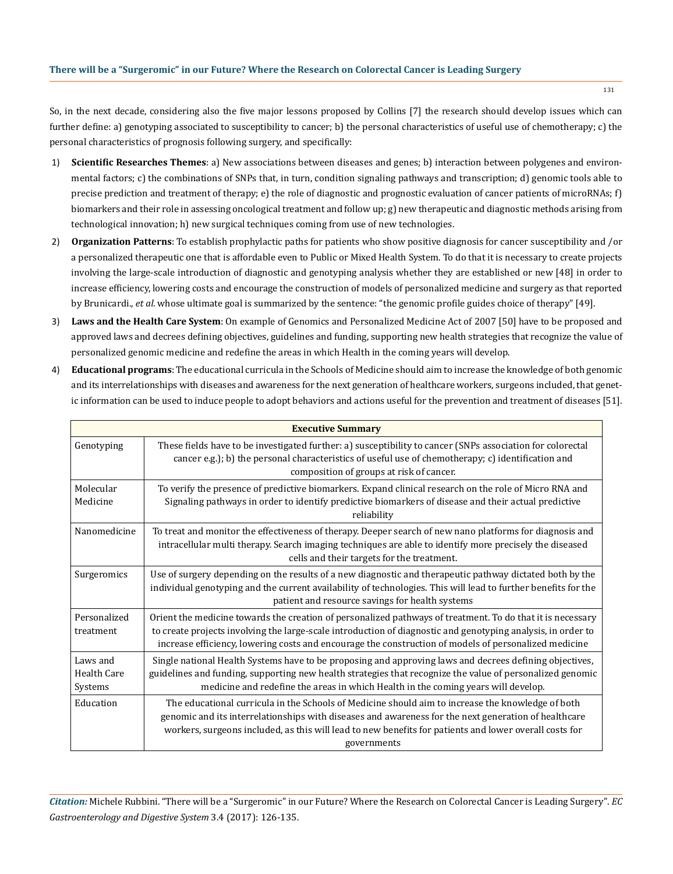So, in the next decade, considering also the five major lessons proposed by Collins [7] the research should develop issues which can further define: a) genotyping associated to susceptibility to cancer; b) the personal characteristics of useful use of chemotherapy; c) the personal characteristics of prognosis following surgery, and specifically:

- 1) **Scientific Researches Themes**: a) New associations between diseases and genes; b) interaction between polygenes and environmental factors; c) the combinations of SNPs that, in turn, condition signaling pathways and transcription; d) genomic tools able to precise prediction and treatment of therapy; e) the role of diagnostic and prognostic evaluation of cancer patients of microRNAs; f) biomarkers and their role in assessing oncological treatment and follow up; g) new therapeutic and diagnostic methods arising from technological innovation; h) new surgical techniques coming from use of new technologies.
- 2) **Organization Patterns**: To establish prophylactic paths for patients who show positive diagnosis for cancer susceptibility and /or a personalized therapeutic one that is affordable even to Public or Mixed Health System. To do that it is necessary to create projects involving the large-scale introduction of diagnostic and genotyping analysis whether they are established or new [48] in order to increase efficiency, lowering costs and encourage the construction of models of personalized medicine and surgery as that reported by Brunicardi., *et al.* whose ultimate goal is summarized by the sentence: "the genomic profile guides choice of therapy" [49].
- 3) **Laws and the Health Care System**: On example of Genomics and Personalized Medicine Act of 2007 [50] have to be proposed and approved laws and decrees defining objectives, guidelines and funding, supporting new health strategies that recognize the value of personalized genomic medicine and redefine the areas in which Health in the coming years will develop.
- 4) **Educational programs**: The educational curricula in the Schools of Medicine should aim to increase the knowledge of both genomic and its interrelationships with diseases and awareness for the next generation of healthcare workers, surgeons included, that genetic information can be used to induce people to adopt behaviors and actions useful for the prevention and treatment of diseases [51].

| <b>Executive Summary</b>           |                                                                                                                                                                                                                                                                                                                                     |  |  |
|------------------------------------|-------------------------------------------------------------------------------------------------------------------------------------------------------------------------------------------------------------------------------------------------------------------------------------------------------------------------------------|--|--|
| Genotyping                         | These fields have to be investigated further: a) susceptibility to cancer (SNPs association for colorectal<br>cancer e.g.); b) the personal characteristics of useful use of chemotherapy; c) identification and<br>composition of groups at risk of cancer.                                                                        |  |  |
| Molecular<br>Medicine              | To verify the presence of predictive biomarkers. Expand clinical research on the role of Micro RNA and<br>Signaling pathways in order to identify predictive biomarkers of disease and their actual predictive<br>reliability                                                                                                       |  |  |
| Nanomedicine                       | To treat and monitor the effectiveness of therapy. Deeper search of new nano platforms for diagnosis and<br>intracellular multi therapy. Search imaging techniques are able to identify more precisely the diseased<br>cells and their targets for the treatment.                                                                   |  |  |
| Surgeromics                        | Use of surgery depending on the results of a new diagnostic and therapeutic pathway dictated both by the<br>individual genotyping and the current availability of technologies. This will lead to further benefits for the<br>patient and resource savings for health systems                                                       |  |  |
| Personalized<br>treatment          | Orient the medicine towards the creation of personalized pathways of treatment. To do that it is necessary<br>to create projects involving the large-scale introduction of diagnostic and genotyping analysis, in order to<br>increase efficiency, lowering costs and encourage the construction of models of personalized medicine |  |  |
| Laws and<br>Health Care<br>Systems | Single national Health Systems have to be proposing and approving laws and decrees defining objectives,<br>guidelines and funding, supporting new health strategies that recognize the value of personalized genomic<br>medicine and redefine the areas in which Health in the coming years will develop.                           |  |  |
| Education                          | The educational curricula in the Schools of Medicine should aim to increase the knowledge of both<br>genomic and its interrelationships with diseases and awareness for the next generation of healthcare<br>workers, surgeons included, as this will lead to new benefits for patients and lower overall costs for<br>governments  |  |  |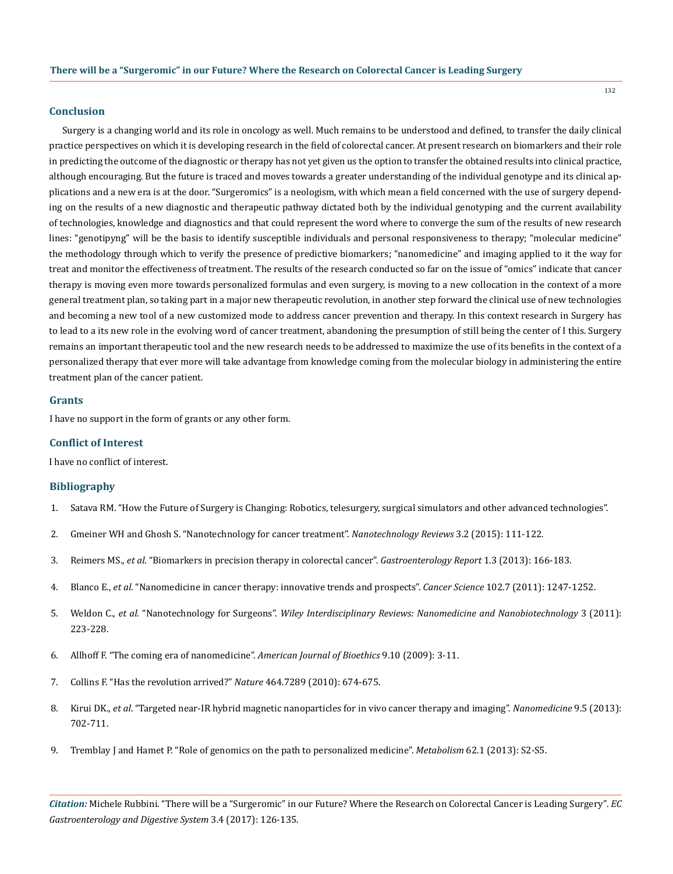## **Conclusion**

Surgery is a changing world and its role in oncology as well. Much remains to be understood and defined, to transfer the daily clinical practice perspectives on which it is developing research in the field of colorectal cancer. At present research on biomarkers and their role in predicting the outcome of the diagnostic or therapy has not yet given us the option to transfer the obtained results into clinical practice, although encouraging. But the future is traced and moves towards a greater understanding of the individual genotype and its clinical applications and a new era is at the door. "Surgeromics" is a neologism, with which mean a field concerned with the use of surgery depending on the results of a new diagnostic and therapeutic pathway dictated both by the individual genotyping and the current availability of technologies, knowledge and diagnostics and that could represent the word where to converge the sum of the results of new research lines: "genotipyng" will be the basis to identify susceptible individuals and personal responsiveness to therapy; "molecular medicine" the methodology through which to verify the presence of predictive biomarkers; "nanomedicine" and imaging applied to it the way for treat and monitor the effectiveness of treatment. The results of the research conducted so far on the issue of "omics" indicate that cancer therapy is moving even more towards personalized formulas and even surgery, is moving to a new collocation in the context of a more general treatment plan, so taking part in a major new therapeutic revolution, in another step forward the clinical use of new technologies and becoming a new tool of a new customized mode to address cancer prevention and therapy. In this context research in Surgery has to lead to a its new role in the evolving word of cancer treatment, abandoning the presumption of still being the center of I this. Surgery remains an important therapeutic tool and the new research needs to be addressed to maximize the use of its benefits in the context of a personalized therapy that ever more will take advantage from knowledge coming from the molecular biology in administering the entire treatment plan of the cancer patient.

# **Grants**

I have no support in the form of grants or any other form.

# **Conflict of Interest**

I have no conflict of interest.

### **Bibliography**

- 1. [Satava RM. "How the Future of Surgery is Changing: Robotics, telesurgery, surgical simulators and other advanced technologies".](https://depts.washington.edu/surg/biointel/Future-of-Surgery-0606.pdf)
- 2. [Gmeiner WH and Ghosh S. "Nanotechnology for cancer treatment".](https://www.ncbi.nlm.nih.gov/pubmed/26082884) *Nanotechnology Reviews* 3.2 (2015): 111-122.
- 3. Reimers MS., *et al*[. "Biomarkers in precision therapy in colorectal cancer".](https://www.ncbi.nlm.nih.gov/pmc/articles/PMC3937997/) *Gastroenterology Report* 1.3 (2013): 166-183.
- 4. Blanco E., *et al*[. "Nanomedicine in cancer therapy: innovative trends and prospects".](https://www.ncbi.nlm.nih.gov/pubmed/21447010) *Cancer Science* 102.7 (2011): 1247-1252.
- 5. Weldon C., *et al*. "Nanotechnology for Surgeons". *[Wiley Interdisciplinary Reviews: Nanomedicine and Nanobiotechnology](http://onlinelibrary.wiley.com/doi/10.1002/wnan.128/abstract)* 3 (2011): [223-228.](http://onlinelibrary.wiley.com/doi/10.1002/wnan.128/abstract)
- 6. [Allhoff F. "The coming era of nanomedicine".](https://www.ncbi.nlm.nih.gov/pubmed/19998074) *American Journal of Bioethics* 9.10 (2009): 3-11.
- 7. [Collins F. "Has the revolution arrived?"](https://www.ncbi.nlm.nih.gov/pubmed/20360716) *Nature* 464.7289 (2010): 674-675.
- 8. Kirui DK., *et al*[. "Targeted near-IR hybrid magnetic nanoparticles for in vivo cancer therapy and imaging".](https://www.ncbi.nlm.nih.gov/pubmed/23219875) *Nanomedicine* 9.5 (2013): [702-711.](https://www.ncbi.nlm.nih.gov/pubmed/23219875)
- 9. [Tremblay J and Hamet P. "Role of genomics on the path to personalized medicine".](https://www.ncbi.nlm.nih.gov/pubmed/23021037) *Metabolism* 62.1 (2013): S2-S5.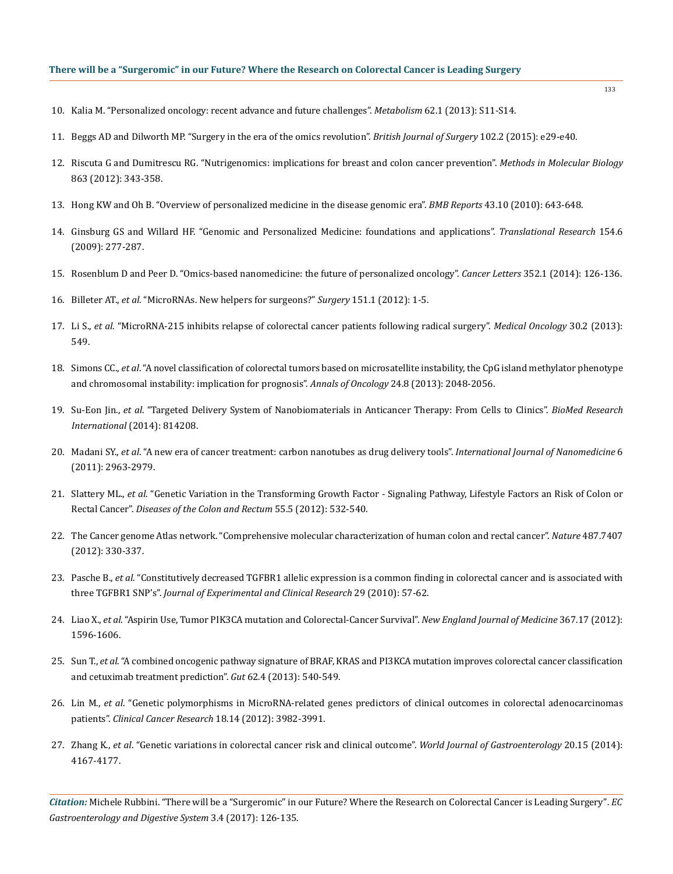## **There will be a "Surgeromic" in our Future? Where the Research on Colorectal Cancer is Leading Surgery**

- 10. [Kalia M. "Personalized oncology: recent advance and future challenges".](https://www.ncbi.nlm.nih.gov/pubmed/22999010) *Metabolism* 62.1 (2013): S11-S14.
- 11. [Beggs AD and Dilworth MP. "Surgery in the era of the omics revolution".](https://www.ncbi.nlm.nih.gov/pubmed/25627134) *British Journal of Surgery* 102.2 (2015): e29-e40.
- 12. [Riscuta G and Dumitrescu RG. "Nutrigenomics: implications for breast and colon cancer prevention".](https://www.ncbi.nlm.nih.gov/pubmed/22359305) *Methods in Molecular Biology* [863 \(2012\): 343-358.](https://www.ncbi.nlm.nih.gov/pubmed/22359305)
- 13. [Hong KW and Oh B. "Overview of personalized medicine in the disease genomic era".](https://www.ncbi.nlm.nih.gov/pubmed/21034525) *BMB Reports* 43.10 (2010): 643-648.
- 14. [Ginsburg GS and Willard HF. "Genomic and Personalized Medicine: foundations and applications".](https://www.ncbi.nlm.nih.gov/pubmed/19931193) *Translational Research* 154.6 [\(2009\): 277-287.](https://www.ncbi.nlm.nih.gov/pubmed/19931193)
- 15. [Rosenblum D and Peer D. "Omics-based nanomedicine: the future of personalized oncology".](https://www.ncbi.nlm.nih.gov/pubmed/23941830) *Cancer Letters* 352.1 (2014): 126-136.
- 16. Billeter AT., *et al*[. "MicroRNAs. New helpers for surgeons?"](https://www.ncbi.nlm.nih.gov/pubmed/22019341) *Surgery* 151.1 (2012): 1-5.
- 17. Li S., *et al*[. "MicroRNA-215 inhibits relapse of colorectal cancer patients following radical surgery".](https://www.ncbi.nlm.nih.gov/pubmed/23532818) *Medical Oncology* 30.2 (2013): [549.](https://www.ncbi.nlm.nih.gov/pubmed/23532818)
- 18. Simons CC., *et al*[. "A novel classification of colorectal tumors based on microsatellite instability, the CpG island methylator phenotype](https://www.ncbi.nlm.nih.gov/pubmed/23532114)  [and chromosomal instability: implication for prognosis".](https://www.ncbi.nlm.nih.gov/pubmed/23532114) *Annals of Oncology* 24.8 (2013): 2048-2056.
- 19. Su-Eon Jin., *et al*[. "Targeted Delivery System of Nanobiomaterials in Anticancer Therapy: From Cells to Clinics".](https://www.ncbi.nlm.nih.gov/pubmed/24672796) *BioMed Research International* [\(2014\): 814208.](https://www.ncbi.nlm.nih.gov/pubmed/24672796)
- 20. Madani SY., *et al*[. "A new era of cancer treatment: carbon nanotubes as drug delivery tools".](https://www.ncbi.nlm.nih.gov/pmc/articles/PMC3230565/) *International Journal of Nanomedicine* 6 [\(2011\): 2963-2979.](https://www.ncbi.nlm.nih.gov/pmc/articles/PMC3230565/)
- 21. Slattery ML., *et al*[. "Genetic Variation in the Transforming Growth Factor Signaling Pathway, Lifestyle Factors an Risk of Colon or](https://www.ncbi.nlm.nih.gov/pubmed/22513431)  Rectal Cancer". *[Diseases of the Colon and Rectum](https://www.ncbi.nlm.nih.gov/pubmed/22513431)* 55.5 (2012): 532-540.
- 22. [The Cancer genome Atlas network. "Comprehensive molecular characterization of human colon and rectal cancer".](https://www.ncbi.nlm.nih.gov/pubmed/22810696) *Nature* 487.7407 [\(2012\): 330-337.](https://www.ncbi.nlm.nih.gov/pubmed/22810696)
- 23. Pasche B., *et al*[. "Constitutively decreased TGFBR1 allelic expression is a common finding in colorectal cancer and is associated with](https://www.ncbi.nlm.nih.gov/pubmed/20500843)  three TGFBR1 SNP's". *[Journal of Experimental and Clinical Research](https://www.ncbi.nlm.nih.gov/pubmed/20500843)* 29 (2010): 57-62.
- 24. Liao X., *et al*[. "Aspirin Use, Tumor PIK3CA mutation and Colorectal-Cancer Survival".](https://www.ncbi.nlm.nih.gov/pubmed/23094721) *New England Journal of Medicine* 367.17 (2012): [1596-1606.](https://www.ncbi.nlm.nih.gov/pubmed/23094721)
- 25. Sun T., *et al*[. "A combined oncogenic pathway signature of BRAF, KRAS and PI3KCA mutation improves colorectal cancer classification](https://www.ncbi.nlm.nih.gov/pubmed/22798500)  [and cetuximab treatment prediction".](https://www.ncbi.nlm.nih.gov/pubmed/22798500) *Gut* 62.4 (2013): 540-549.
- 26. Lin M., *et al*[. "Genetic polymorphisms in MicroRNA-related genes predictors of clinical outcomes in colorectal adenocarcinomas](https://www.ncbi.nlm.nih.gov/pubmed/22661538)  patients". *[Clinical Cancer Research](https://www.ncbi.nlm.nih.gov/pubmed/22661538)* 18.14 (2012): 3982-3991.
- 27. Zhang K., *et al*[. "Genetic variations in colorectal cancer risk and clinical outcome".](https://www.ncbi.nlm.nih.gov/pubmed/24764655) *World Journal of Gastroenterology* 20.15 (2014): [4167-4177.](https://www.ncbi.nlm.nih.gov/pubmed/24764655)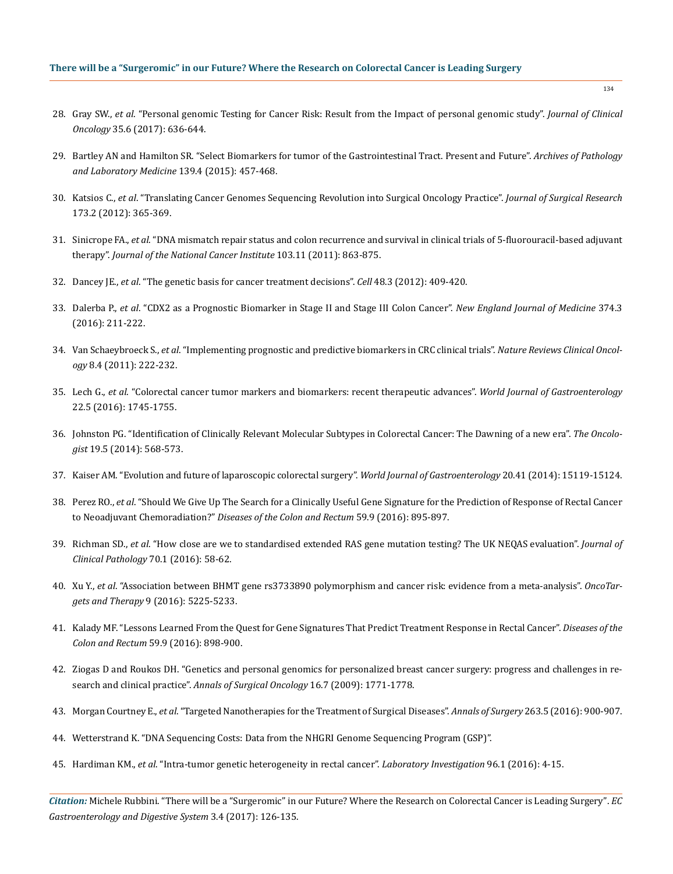- 28. Gray SW., *et al*[. "Personal genomic Testing for Cancer Risk: Result from the Impact of personal genomic study".](http://ascopubs.org/doi/abs/10.1200/JCO.2016.67.1503) *Journal of Clinical Oncology* [35.6 \(2017\): 636-644.](http://ascopubs.org/doi/abs/10.1200/JCO.2016.67.1503)
- 29. [Bartley AN and Hamilton SR. "Select Biomarkers for tumor of the Gastrointestinal Tract. Present and Future".](https://www.ncbi.nlm.nih.gov/pubmed/25333834) *Archives of Pathology [and Laboratory Medicine](https://www.ncbi.nlm.nih.gov/pubmed/25333834)* 139.4 (2015): 457-468.
- 30. Katsios C., *et al*[. "Translating Cancer Genomes Sequencing Revolution into Surgical Oncology Practice".](https://www.ncbi.nlm.nih.gov/pubmed/21195428) *Journal of Surgical Research* [173.2 \(2012\): 365-369.](https://www.ncbi.nlm.nih.gov/pubmed/21195428)
- 31. Sinicrope FA., *et al*[. "DNA mismatch repair status and colon recurrence and survival in clinical trials of 5-fluorouracil-based adjuvant](https://www.ncbi.nlm.nih.gov/pubmed/21597022) therapy". *[Journal of the National Cancer Institute](https://www.ncbi.nlm.nih.gov/pubmed/21597022)* 103.11 (2011): 863-875.
- 32. Dancey JE., *et al*[. "The genetic basis for cancer treatment decisions".](https://www.ncbi.nlm.nih.gov/pubmed/22304912) *Cell* 48.3 (2012): 409-420.
- 33. Dalerba P., *et al*[. "CDX2 as a Prognostic Biomarker in Stage II and Stage III Colon Cancer".](https://www.ncbi.nlm.nih.gov/pubmed/26789870) *New England Journal of Medicine* 374.3 [\(2016\): 211-222.](https://www.ncbi.nlm.nih.gov/pubmed/26789870)
- 34. Van Schaeybroeck S., *et al*[. "Implementing prognostic and predictive biomarkers in CRC clinical trials".](https://www.ncbi.nlm.nih.gov/pubmed/21321566) *Nature Reviews Clinical Oncology* [8.4 \(2011\): 222-232.](https://www.ncbi.nlm.nih.gov/pubmed/21321566)
- 35. Lech G., *et al*[. "Colorectal cancer tumor markers and biomarkers: recent therapeutic advances".](https://www.ncbi.nlm.nih.gov/pubmed/26855534) *World Journal of Gastroenterology* [22.5 \(2016\): 1745-1755.](https://www.ncbi.nlm.nih.gov/pubmed/26855534)
- 36. [Johnston PG. "Identification of Clinically Relevant Molecular Subtypes in Colorectal Cancer: The Dawning of a new era".](https://www.ncbi.nlm.nih.gov/pubmed/24718513) *The Oncologist* [19.5 \(2014\): 568-573.](https://www.ncbi.nlm.nih.gov/pubmed/24718513)
- 37. [Kaiser AM. "Evolution and future of laparoscopic colorectal surgery".](https://www.ncbi.nlm.nih.gov/pmc/articles/PMC4223245/) *World Journal of Gastroenterology* 20.41 (2014): 15119-15124.
- 38. Perez RO., *et al*[. "Should We Give Up The Search for a Clinically Useful Gene Signature for the Prediction of Response of Rectal Cancer](https://www.ncbi.nlm.nih.gov/pubmed/27505119) to Neoadjuvant Chemoradiation?" *[Diseases of the Colon and Rectum](https://www.ncbi.nlm.nih.gov/pubmed/27505119)* 59.9 (2016): 895-897.
- 39. Richman SD., *et al*[. "How close are we to standardised extended RAS gene mutation testing? The UK NEQAS evaluation".](https://www.ncbi.nlm.nih.gov/pubmed/27681846/) *Journal of [Clinical Pathology](https://www.ncbi.nlm.nih.gov/pubmed/27681846/)* 70.1 (2016): 58-62.
- 40. Xu Y., *et al*[. "Association between BHMT gene rs3733890 polymorphism and cancer risk: evidence from a meta-analysis".](https://www.ncbi.nlm.nih.gov/pubmed/27578989) *OncoTargets and Therapy* [9 \(2016\): 5225-5233.](https://www.ncbi.nlm.nih.gov/pubmed/27578989)
- 41. [Kalady MF. "Lessons Learned From the Quest for Gene Signatures That Predict Treatment Response in Rectal Cancer".](https://www.ncbi.nlm.nih.gov/m/pubmed/27505120/) *Diseases of the Colon and Rectum* [59.9 \(2016\): 898-900.](https://www.ncbi.nlm.nih.gov/m/pubmed/27505120/)
- 42. [Ziogas D and Roukos DH. "Genetics and personal genomics for personalized breast cancer surgery: progress and challenges in re](https://www.ncbi.nlm.nih.gov/pubmed/19322611)search and clinical practice". *[Annals of Surgical Oncology](https://www.ncbi.nlm.nih.gov/pubmed/19322611)* 16.7 (2009): 1771-1778.
- 43. Morgan Courtney E., *et al*[. "Targeted Nanotherapies for the Treatment of Surgical Diseases".](https://www.ncbi.nlm.nih.gov/pubmed/26756763) *Annals of Surgery* 263.5 (2016): 900-907.
- 44. [Wetterstrand K. "DNA Sequencing Costs: Data from the NHGRI Genome Sequencing Program \(GSP\)".](https://www.genome.gov/sequencingcostsdata/)
- 45. Hardiman KM., *et al*[. "Intra-tumor genetic heterogeneity in rectal cancer".](https://www.ncbi.nlm.nih.gov/pubmed/26568296) *Laboratory Investigation* 96.1 (2016): 4-15.